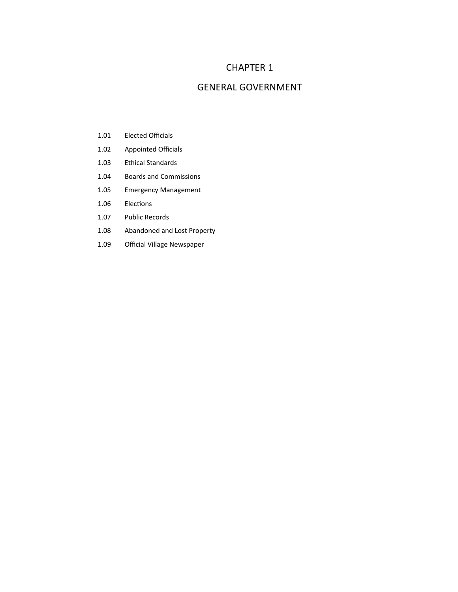# CHAPTER 1

## GENERAL GOVERNMENT

- 1.01 Elected Officials
- 1.02 Appointed Officials
- 1.03 Ethical Standards
- 1.04 Boards and Commissions
- 1.05 Emergency Management
- 1.06 Elections
- 1.07 Public Records
- 1.08 Abandoned and Lost Property
- 1.09 Official Village Newspaper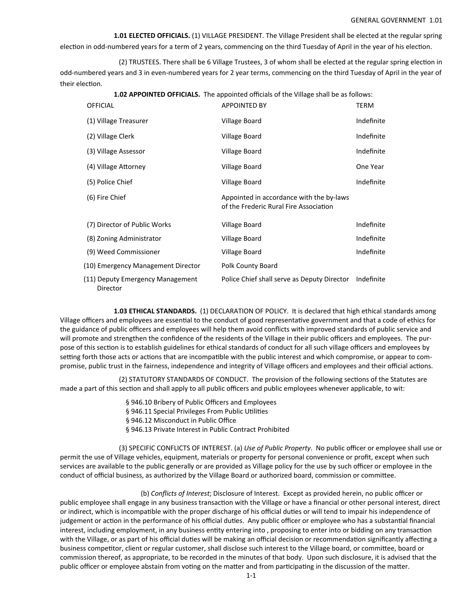### GENERAL GOVERNMENT 1.01

 **1.01 ELECTED OFFICIALS.** (1) VILLAGE PRESIDENT. The Village President shall be elected at the regular spring election in odd-numbered years for a term of 2 years, commencing on the third Tuesday of April in the year of his election.

(2) TRUSTEES. There shall be 6 Village Trustees, 3 of whom shall be elected at the regular spring election in odd‐numbered years and 3 in even‐numbered years for 2 year terms, commencing on the third Tuesday of April in the year of their election.

**1.02 APPOINTED OFFICIALS.** The appointed officials of the Village shall be as follows:

| <b>OFFICIAL</b>                              | <b>APPOINTED BY</b>                                                                | <b>TERM</b> |
|----------------------------------------------|------------------------------------------------------------------------------------|-------------|
| (1) Village Treasurer                        | Village Board                                                                      | Indefinite  |
| (2) Village Clerk                            | Village Board                                                                      | Indefinite  |
| (3) Village Assessor                         | Village Board                                                                      | Indefinite  |
| (4) Village Attorney                         | Village Board                                                                      | One Year    |
| (5) Police Chief                             | Village Board                                                                      | Indefinite  |
| (6) Fire Chief                               | Appointed in accordance with the by-laws<br>of the Frederic Rural Fire Association |             |
| (7) Director of Public Works                 | Village Board                                                                      | Indefinite  |
| (8) Zoning Administrator                     | Village Board                                                                      | Indefinite  |
| (9) Weed Commissioner                        | Village Board                                                                      | Indefinite  |
| (10) Emergency Management Director           | Polk County Board                                                                  |             |
| (11) Deputy Emergency Management<br>Director | Police Chief shall serve as Deputy Director                                        | Indefinite  |

 **1.03 ETHICAL STANDARDS.** (1) DECLARATION OF POLICY. It is declared that high ethical standards among Village officers and employees are essential to the conduct of good representative government and that a code of ethics for the guidance of public officers and employees will help them avoid conflicts with improved standards of public service and will promote and strengthen the confidence of the residents of the Village in their public officers and employees. The purpose of this section is to establish guidelines for ethical standards of conduct for all such village officers and employees by setting forth those acts or actions that are incompatible with the public interest and which compromise, or appear to compromise, public trust in the fairness, independence and integrity of Village officers and employees and their official actions.

(2) STATUTORY STANDARDS OF CONDUCT. The provision of the following sections of the Statutes are made a part of this section and shall apply to all public officers and public employees whenever applicable, to wit:

- § 946.10 Bribery of Public Officers and Employees
- § 946.11 Special Privileges From Public Utilities
- § 946.12 Misconduct in Public Office
- § 946.13 Private Interest in Public Contract Prohibited

 (3) SPECIFIC CONFLICTS OF INTEREST. (a) *Use of Public Property*. No public officer or employee shall use or permit the use of Village vehicles, equipment, materials or property for personal convenience or profit, except when such services are available to the public generally or are provided as Village policy for the use by such officer or employee in the conduct of official business, as authorized by the Village Board or authorized board, commission or committee.

 (b) *Conflicts of Interest*; Disclosure of Interest. Except as provided herein, no public officer or public employee shall engage in any business transaction with the Village or have a financial or other personal interest, direct or indirect, which is incompatible with the proper discharge of his official duties or will tend to impair his independence of judgement or action in the performance of his official duties. Any public officer or employee who has a substantial financial interest, including employment, in any business entity entering into, proposing to enter into or bidding on any transaction with the Village, or as part of his official duties will be making an official decision or recommendation significantly affecting a business competitor, client or regular customer, shall disclose such interest to the Village board, or committee, board or commission thereof, as appropriate, to be recorded in the minutes of that body. Upon such disclosure, it is advised that the public officer or employee abstain from voting on the matter and from participating in the discussion of the matter.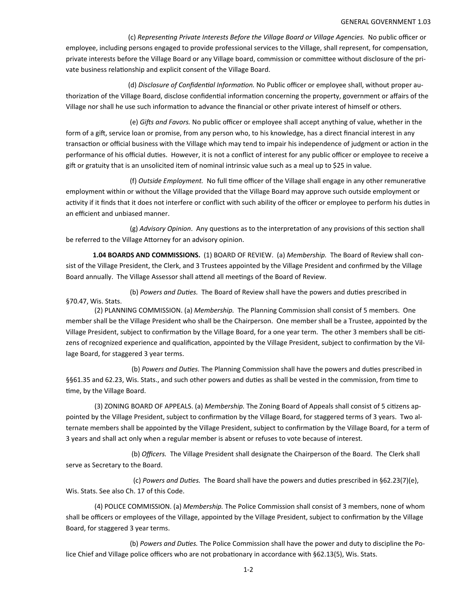(c) *RepresenƟng Private Interests Before the Village Board or Village Agencies.* No public officer or employee, including persons engaged to provide professional services to the Village, shall represent, for compensation, private interests before the Village Board or any Village board, commission or committee without disclosure of the private business relationship and explicit consent of the Village Board.

(d) *Disclosure of Confidential Information*. No Public officer or employee shall, without proper authorization of the Village Board, disclose confidential information concerning the property, government or affairs of the Village nor shall he use such information to advance the financial or other private interest of himself or others.

(e) *Gifts and Favors.* No public officer or employee shall accept anything of value, whether in the form of a gift, service loan or promise, from any person who, to his knowledge, has a direct financial interest in any transaction or official business with the Village which may tend to impair his independence of judgment or action in the performance of his official duties. However, it is not a conflict of interest for any public officer or employee to receive a gift or gratuity that is an unsolicited item of nominal intrinsic value such as a meal up to \$25 in value.

(f) Outside Employment. No full time officer of the Village shall engage in any other remunerative employment within or without the Village provided that the Village Board may approve such outside employment or activity if it finds that it does not interfere or conflict with such ability of the officer or employee to perform his duties in an efficient and unbiased manner.

(g) *Advisory Opinion*. Any questions as to the interpretation of any provisions of this section shall be referred to the Village Attorney for an advisory opinion.

 **1.04 BOARDS AND COMMISSIONS.**  (1) BOARD OF REVIEW. (a) *Membership.* The Board of Review shall con‐ sist of the Village President, the Clerk, and 3 Trustees appointed by the Village President and confirmed by the Village Board annually. The Village Assessor shall attend all meetings of the Board of Review.

(b) *Powers and Duties.* The Board of Review shall have the powers and duties prescribed in §70.47, Wis. Stats.

 (2) PLANNING COMMISSION. (a) *Membership.* The Planning Commission shall consist of 5 members. One member shall be the Village President who shall be the Chairperson. One member shall be a Trustee, appointed by the Village President, subject to confirmation by the Village Board, for a one year term. The other 3 members shall be citizens of recognized experience and qualification, appointed by the Village President, subject to confirmation by the Village Board, for staggered 3 year terms.

(b) Powers and Duties. The Planning Commission shall have the powers and duties prescribed in §§61.35 and 62.23, Wis. Stats., and such other powers and duties as shall be vested in the commission, from time to time, by the Village Board.

(3) ZONING BOARD OF APPEALS. (a) *Membership*. The Zoning Board of Appeals shall consist of 5 citizens appointed by the Village President, subject to confirmation by the Village Board, for staggered terms of 3 years. Two alternate members shall be appointed by the Village President, subject to confirmation by the Village Board, for a term of 3 years and shall act only when a regular member is absent or refuses to vote because of interest.

 (b) *Officers.*  The Village President shall designate the Chairperson of the Board. The Clerk shall serve as Secretary to the Board.

 (c) *Powers and DuƟes.* The Board shall have the powers and duƟes prescribed in §62.23(7)(e), Wis. Stats. See also Ch. 17 of this Code.

 (4) POLICE COMMISSION. (a) *Membership.* The Police Commission shall consist of 3 members, none of whom shall be officers or employees of the Village, appointed by the Village President, subject to confirmation by the Village Board, for staggered 3 year terms.

 (b) *Powers and DuƟes.* The Police Commission shall have the power and duty to discipline the Po‐ lice Chief and Village police officers who are not probationary in accordance with §62.13(5), Wis. Stats.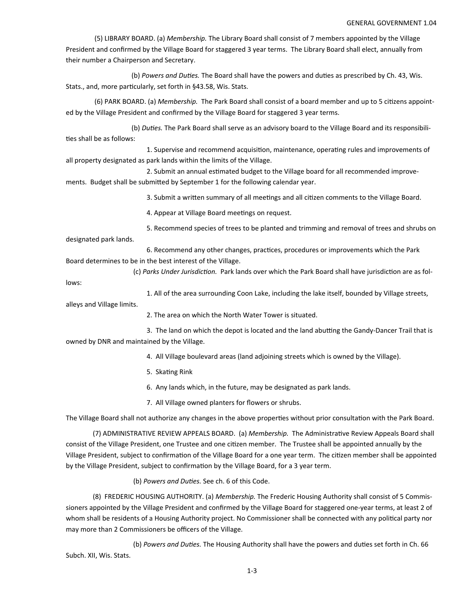#### GENERAL GOVERNMENT 1.04

 (5) LIBRARY BOARD. (a) *Membership.* The Library Board shall consist of 7 members appointed by the Village President and confirmed by the Village Board for staggered 3 year terms. The Library Board shall elect, annually from their number a Chairperson and Secretary.

(b) *Powers and Duties.* The Board shall have the powers and duties as prescribed by Ch. 43, Wis. Stats., and, more particularly, set forth in §43.58, Wis. Stats.

(6) PARK BOARD. (a) *Membership.* The Park Board shall consist of a board member and up to 5 citizens appointed by the Village President and confirmed by the Village Board for staggered 3 year terms.

 (b) *DuƟes.* The Park Board shall serve as an advisory board to the Village Board and its responsibili‐ ties shall be as follows:

1. Supervise and recommend acquisition, maintenance, operating rules and improvements of all property designated as park lands within the limits of the Village.

2. Submit an annual estimated budget to the Village board for all recommended improvements. Budget shall be submitted by September 1 for the following calendar year.

3. Submit a written summary of all meetings and all citizen comments to the Village Board.

4. Appear at Village Board meetings on request.

5. Recommend species of trees to be planted and trimming and removal of trees and shrubs on

designated park lands.

6. Recommend any other changes, practices, procedures or improvements which the Park Board determines to be in the best interest of the Village.

(c) Parks Under Jurisdiction. Park lands over which the Park Board shall have jurisdiction are as fol-

lows:

1. All of the area surrounding Coon Lake, including the lake itself, bounded by Village streets,

alleys and Village limits.

2. The area on which the North Water Tower is situated.

3. The land on which the depot is located and the land abutting the Gandy-Dancer Trail that is owned by DNR and maintained by the Village.

- 4. All Village boulevard areas (land adjoining streets which is owned by the Village).
- 5. SkaƟng Rink
- 6. Any lands which, in the future, may be designated as park lands.
- 7. All Village owned planters for flowers or shrubs.

The Village Board shall not authorize any changes in the above properties without prior consultation with the Park Board.

 (7) ADMINISTRATIVE REVIEW APPEALS BOARD. (a) *Membership.* The AdministraƟve Review Appeals Board shall consist of the Village President, one Trustee and one citizen member. The Trustee shall be appointed annually by the Village President, subject to confirmation of the Village Board for a one year term. The citizen member shall be appointed by the Village President, subject to confirmation by the Village Board, for a 3 year term.

(b) *Powers and DuƟes.* See ch. 6 of this Code.

 (8) FREDERIC HOUSING AUTHORITY. (a) *Membership.* The Frederic Housing Authority shall consist of 5 Commis‐ sioners appointed by the Village President and confirmed by the Village Board for staggered one‐year terms, at least 2 of whom shall be residents of a Housing Authority project. No Commissioner shall be connected with any political party nor may more than 2 Commissioners be officers of the Village.

 (b) *Powers and DuƟes.* The Housing Authority shall have the powers and duƟes set forth in Ch. 66 Subch. XII, Wis. Stats.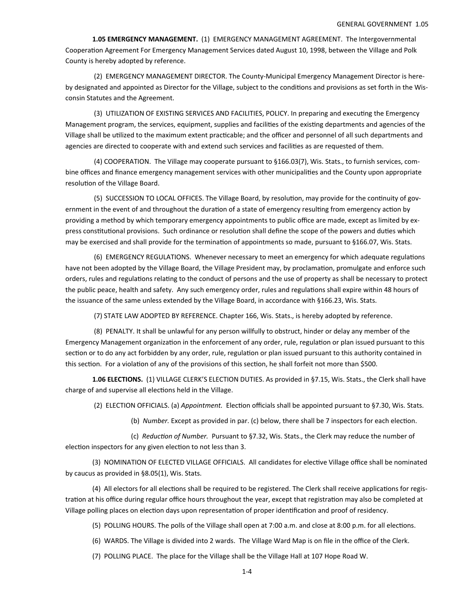**1.05 EMERGENCY MANAGEMENT.** (1) EMERGENCY MANAGEMENT AGREEMENT. The Intergovernmental Cooperation Agreement For Emergency Management Services dated August 10, 1998, between the Village and Polk County is hereby adopted by reference.

 (2) EMERGENCY MANAGEMENT DIRECTOR. The County‐Municipal Emergency Management Director is here‐ by designated and appointed as Director for the Village, subject to the conditions and provisions as set forth in the Wisconsin Statutes and the Agreement.

(3) UTILIZATION OF EXISTING SERVICES AND FACILITIES, POLICY. In preparing and executing the Emergency Management program, the services, equipment, supplies and facilities of the existing departments and agencies of the Village shall be utilized to the maximum extent practicable; and the officer and personnel of all such departments and agencies are directed to cooperate with and extend such services and facilities as are requested of them.

 (4) COOPERATION. The Village may cooperate pursuant to §166.03(7), Wis. Stats., to furnish services, com‐ bine offices and finance emergency management services with other municipalities and the County upon appropriate resolution of the Village Board.

(5) SUCCESSION TO LOCAL OFFICES. The Village Board, by resolution, may provide for the continuity of government in the event of and throughout the duration of a state of emergency resulting from emergency action by providing a method by which temporary emergency appointments to public office are made, except as limited by ex‐ press constitutional provisions. Such ordinance or resolution shall define the scope of the powers and duties which may be exercised and shall provide for the termination of appointments so made, pursuant to §166.07, Wis. Stats.

(6) EMERGENCY REGULATIONS. Whenever necessary to meet an emergency for which adequate regulations have not been adopted by the Village Board, the Village President may, by proclamation, promulgate and enforce such orders, rules and regulations relating to the conduct of persons and the use of property as shall be necessary to protect the public peace, health and safety. Any such emergency order, rules and regulations shall expire within 48 hours of the issuance of the same unless extended by the Village Board, in accordance with §166.23, Wis. Stats.

(7) STATE LAW ADOPTED BY REFERENCE. Chapter 166, Wis. Stats., is hereby adopted by reference.

 (8) PENALTY. It shall be unlawful for any person willfully to obstruct, hinder or delay any member of the Emergency Management organization in the enforcement of any order, rule, regulation or plan issued pursuant to this section or to do any act forbidden by any order, rule, regulation or plan issued pursuant to this authority contained in this section. For a violation of any of the provisions of this section, he shall forfeit not more than \$500.

 **1.06 ELECTIONS.**  (1) VILLAGE CLERK'S ELECTION DUTIES. As provided in §7.15, Wis. Stats., the Clerk shall have charge of and supervise all elections held in the Village.

(2) ELECTION OFFICIALS. (a) *Appointment*. Election officials shall be appointed pursuant to §7.30, Wis. Stats.

(b) *Number*. Except as provided in par. (c) below, there shall be 7 inspectors for each election.

 (c) *ReducƟon of Number.*  Pursuant to §7.32, Wis. Stats., the Clerk may reduce the number of election inspectors for any given election to not less than 3.

(3) NOMINATION OF ELECTED VILLAGE OFFICIALS. All candidates for elective Village office shall be nominated by caucus as provided in §8.05(1), Wis. Stats.

(4) All electors for all elections shall be required to be registered. The Clerk shall receive applications for registration at his office during regular office hours throughout the year, except that registration may also be completed at Village polling places on election days upon representation of proper identification and proof of residency.

(5) POLLING HOURS. The polls of the Village shall open at 7:00 a.m. and close at 8:00 p.m. for all elections.

(6) WARDS. The Village is divided into 2 wards. The Village Ward Map is on file in the office of the Clerk.

(7) POLLING PLACE. The place for the Village shall be the Village Hall at 107 Hope Road W.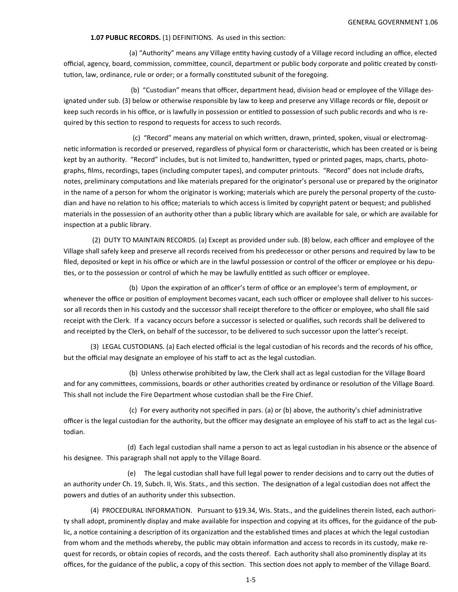#### **1.07 PUBLIC RECORDS.** (1) DEFINITIONS. As used in this section:

(a) "Authority" means any Village entity having custody of a Village record including an office, elected official, agency, board, commission, committee, council, department or public body corporate and politic created by constitution, law, ordinance, rule or order; or a formally constituted subunit of the foregoing.

 (b) "Custodian" means that officer, department head, division head or employee of the Village des‐ ignated under sub. (3) below or otherwise responsible by law to keep and preserve any Village records or file, deposit or keep such records in his office, or is lawfully in possession or entitled to possession of such public records and who is required by this section to respond to requests for access to such records.

(c) "Record" means any material on which written, drawn, printed, spoken, visual or electromagnetic information is recorded or preserved, regardless of physical form or characteristic, which has been created or is being kept by an authority. "Record" includes, but is not limited to, handwritten, typed or printed pages, maps, charts, photographs, films, recordings, tapes (including computer tapes), and computer printouts. "Record" does not include drafts, notes, preliminary computations and like materials prepared for the originator's personal use or prepared by the originator in the name of a person for whom the originator is working; materials which are purely the personal property of the custodian and have no relation to his office; materials to which access is limited by copyright patent or bequest; and published materials in the possession of an authority other than a public library which are available for sale, or which are available for inspection at a public library.

 (2) DUTY TO MAINTAIN RECORDS. (a) Except as provided under sub. (8) below, each officer and employee of the Village shall safely keep and preserve all records received from his predecessor or other persons and required by law to be filed, deposited or kept in his office or which are in the lawful possession or control of the officer or employee or his deputies, or to the possession or control of which he may be lawfully entitled as such officer or employee.

(b) Upon the expiration of an officer's term of office or an employee's term of employment, or whenever the office or position of employment becomes vacant, each such officer or employee shall deliver to his successor all records then in his custody and the successor shall receipt therefore to the officer or employee, who shall file said receipt with the Clerk. If a vacancy occurs before a successor is selected or qualifies, such records shall be delivered to and receipted by the Clerk, on behalf of the successor, to be delivered to such successor upon the latter's receipt.

 (3) LEGAL CUSTODIANS. (a) Each elected official is the legal custodian of his records and the records of his office, but the official may designate an employee of his staff to act as the legal custodian.

 (b) Unless otherwise prohibited by law, the Clerk shall act as legal custodian for the Village Board and for any committees, commissions, boards or other authorities created by ordinance or resolution of the Village Board. This shall not include the Fire Department whose custodian shall be the Fire Chief.

(c) For every authority not specified in pars. (a) or (b) above, the authority's chief administrative officer is the legal custodian for the authority, but the officer may designate an employee of his staff to act as the legal cus‐ todian.

 (d) Each legal custodian shall name a person to act as legal custodian in his absence or the absence of his designee. This paragraph shall not apply to the Village Board.

(e) The legal custodian shall have full legal power to render decisions and to carry out the duties of an authority under Ch. 19, Subch. II, Wis. Stats., and this section. The designation of a legal custodian does not affect the powers and duties of an authority under this subsection.

 (4) PROCEDURAL INFORMATION. Pursuant to §19.34, Wis. Stats., and the guidelines therein listed, each authori‐ ty shall adopt, prominently display and make available for inspection and copying at its offices, for the guidance of the public, a notice containing a description of its organization and the established times and places at which the legal custodian from whom and the methods whereby, the public may obtain information and access to records in its custody, make request for records, or obtain copies of records, and the costs thereof. Each authority shall also prominently display at its offices, for the guidance of the public, a copy of this section. This section does not apply to member of the Village Board.

1‐5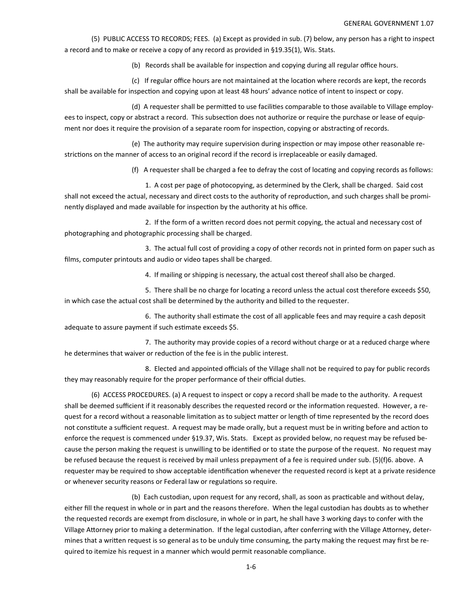(5) PUBLIC ACCESS TO RECORDS; FEES. (a) Except as provided in sub. (7) below, any person has a right to inspect a record and to make or receive a copy of any record as provided in §19.35(1), Wis. Stats.

(b) Records shall be available for inspection and copying during all regular office hours.

(c) If regular office hours are not maintained at the location where records are kept, the records shall be available for inspection and copying upon at least 48 hours' advance notice of intent to inspect or copy.

(d) A requester shall be permitted to use facilities comparable to those available to Village employees to inspect, copy or abstract a record. This subsection does not authorize or require the purchase or lease of equipment nor does it require the provision of a separate room for inspection, copying or abstracting of records.

(e) The authority may require supervision during inspection or may impose other reasonable restrictions on the manner of access to an original record if the record is irreplaceable or easily damaged.

(f) A requester shall be charged a fee to defray the cost of locating and copying records as follows:

 1. A cost per page of photocopying, as determined by the Clerk, shall be charged. Said cost shall not exceed the actual, necessary and direct costs to the authority of reproduction, and such charges shall be prominently displayed and made available for inspection by the authority at his office.

2. If the form of a written record does not permit copying, the actual and necessary cost of photographing and photographic processing shall be charged.

 3. The actual full cost of providing a copy of other records not in printed form on paper such as films, computer printouts and audio or video tapes shall be charged.

4. If mailing or shipping is necessary, the actual cost thereof shall also be charged.

5. There shall be no charge for locating a record unless the actual cost therefore exceeds \$50, in which case the actual cost shall be determined by the authority and billed to the requester.

6. The authority shall estimate the cost of all applicable fees and may require a cash deposit adequate to assure payment if such estimate exceeds \$5.

 7. The authority may provide copies of a record without charge or at a reduced charge where he determines that waiver or reduction of the fee is in the public interest.

 8. Elected and appointed officials of the Village shall not be required to pay for public records they may reasonably require for the proper performance of their official duties.

 (6) ACCESS PROCEDURES. (a) A request to inspect or copy a record shall be made to the authority. A request shall be deemed sufficient if it reasonably describes the requested record or the information requested. However, a request for a record without a reasonable limitation as to subject matter or length of time represented by the record does not constitute a sufficient request. A request may be made orally, but a request must be in writing before and action to enforce the request is commenced under §19.37, Wis. Stats. Except as provided below, no request may be refused because the person making the request is unwilling to be identified or to state the purpose of the request. No request may be refused because the request is received by mail unless prepayment of a fee is required under sub. (5)(f)6. above. A requester may be required to show acceptable identification whenever the requested record is kept at a private residence or whenever security reasons or Federal law or regulations so require.

(b) Each custodian, upon request for any record, shall, as soon as practicable and without delay, either fill the request in whole or in part and the reasons therefore. When the legal custodian has doubts as to whether the requested records are exempt from disclosure, in whole or in part, he shall have 3 working days to confer with the Village Attorney prior to making a determination. If the legal custodian, after conferring with the Village Attorney, determines that a written request is so general as to be unduly time consuming, the party making the request may first be required to itemize his request in a manner which would permit reasonable compliance.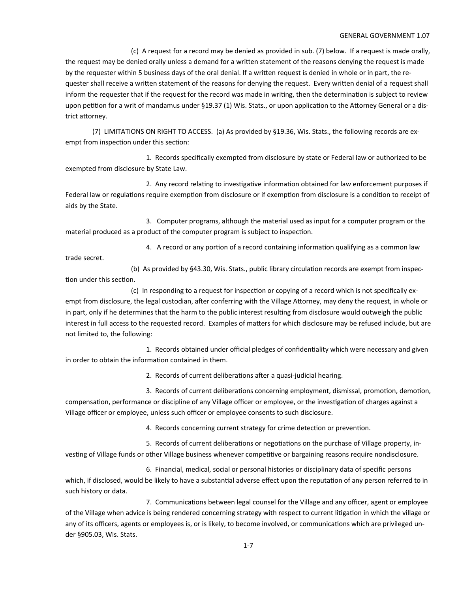#### GENERAL GOVERNMENT 1.07

 (c) A request for a record may be denied as provided in sub. (7) below. If a request is made orally, the request may be denied orally unless a demand for a written statement of the reasons denying the request is made by the requester within 5 business days of the oral denial. If a written request is denied in whole or in part, the requester shall receive a written statement of the reasons for denying the request. Every written denial of a request shall inform the requester that if the request for the record was made in writing, then the determination is subject to review upon petition for a writ of mandamus under §19.37 (1) Wis. Stats., or upon application to the Attorney General or a district attorney.

 (7) LIMITATIONS ON RIGHT TO ACCESS. (a) As provided by §19.36, Wis. Stats., the following records are ex‐ empt from inspection under this section:

 1. Records specifically exempted from disclosure by state or Federal law or authorized to be exempted from disclosure by State Law.

2. Any record relating to investigative information obtained for law enforcement purposes if Federal law or regulations require exemption from disclosure or if exemption from disclosure is a condition to receipt of aids by the State.

 3. Computer programs, although the material used as input for a computer program or the material produced as a product of the computer program is subject to inspection.

4. A record or any portion of a record containing information qualifying as a common law

trade secret.

(b) As provided by §43.30, Wis. Stats., public library circulation records are exempt from inspection under this section.

(c) In responding to a request for inspection or copying of a record which is not specifically exempt from disclosure, the legal custodian, after conferring with the Village Attorney, may deny the request, in whole or in part, only if he determines that the harm to the public interest resulting from disclosure would outweigh the public interest in full access to the requested record. Examples of matters for which disclosure may be refused include, but are not limited to, the following:

1. Records obtained under official pledges of confidentiality which were necessary and given in order to obtain the information contained in them.

2. Records of current deliberations after a quasi-judicial hearing.

3. Records of current deliberations concerning employment, dismissal, promotion, demotion, compensation, performance or discipline of any Village officer or employee, or the investigation of charges against a Village officer or employee, unless such officer or employee consents to such disclosure.

4. Records concerning current strategy for crime detection or prevention.

5. Records of current deliberations or negotiations on the purchase of Village property, investing of Village funds or other Village business whenever competitive or bargaining reasons require nondisclosure.

 6. Financial, medical, social or personal histories or disciplinary data of specific persons which, if disclosed, would be likely to have a substantial adverse effect upon the reputation of any person referred to in such history or data.

7. Communications between legal counsel for the Village and any officer, agent or employee of the Village when advice is being rendered concerning strategy with respect to current litigation in which the village or any of its officers, agents or employees is, or is likely, to become involved, or communications which are privileged under §905.03, Wis. Stats.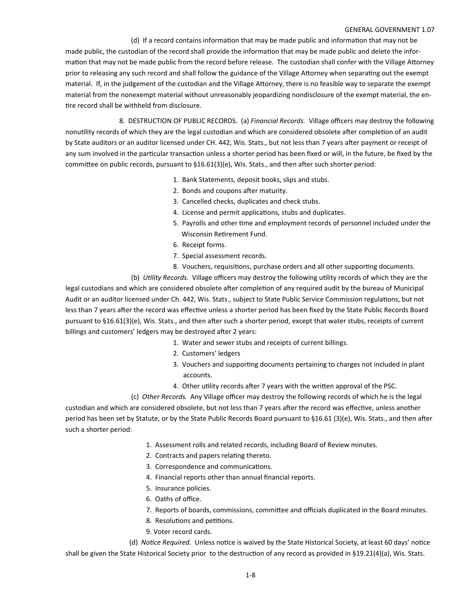#### GENERAL GOVERNMENT 1.07

(d) If a record contains information that may be made public and information that may not be made public, the custodian of the record shall provide the information that may be made public and delete the information that may not be made public from the record before release. The custodian shall confer with the Village Attorney prior to releasing any such record and shall follow the guidance of the Village Attorney when separating out the exempt material. If, in the judgement of the custodian and the Village Attorney, there is no feasible way to separate the exempt material from the nonexempt material without unreasonably jeopardizing nondisclosure of the exempt material, the en‐ tire record shall be withheld from disclosure.

 8. DESTRUCTION OF PUBLIC RECORDS. (a) *Financial Records.* Village officers may destroy the following nonutility records of which they are the legal custodian and which are considered obsolete after completion of an audit by State auditors or an auditor licensed under CH. 442, Wis. Stats., but not less than 7 years after payment or receipt of any sum involved in the particular transaction unless a shorter period has been fixed or will, in the future, be fixed by the committee on public records, pursuant to  $§16.61(3)(e)$ , Wis. Stats., and then after such shorter period:

- 1. Bank Statements, deposit books, slips and stubs.
- 2. Bonds and coupons after maturity.
- 3. Cancelled checks, duplicates and check stubs.
- 4. License and permit applications, stubs and duplicates.
- 5. Payrolls and other time and employment records of personnel included under the Wisconsin Retirement Fund.
- 6. Receipt forms.
- 7. Special assessment records.
- 8. Vouchers, requisitions, purchase orders and all other supporting documents.

(b) *UƟlity Records.* Village officers may destroy the following uƟlity records of which they are the

legal custodians and which are considered obsolete after completion of any required audit by the bureau of Municipal Audit or an auditor licensed under Ch. 442, Wis. Stats., subject to State Public Service Commission regulations, but not less than 7 years after the record was effective unless a shorter period has been fixed by the State Public Records Board pursuant to §16.61(3)(e), Wis. Stats., and then after such a shorter period, except that water stubs, receipts of current billings and customers' ledgers may be destroyed after 2 years:

- 1. Water and sewer stubs and receipts of current billings.
- 2. Customers' ledgers
- 3. Vouchers and supporting documents pertaining to charges not included in plant accounts.
- 4. Other utility records after 7 years with the written approval of the PSC.

(c) *Other Records.* Any Village officer may destroy the following records of which he is the legal

custodian and which are considered obsolete, but not less than 7 years after the record was effective, unless another period has been set by Statute, or by the State Public Records Board pursuant to §16.61 (3)(e), Wis. Stats., and then after such a shorter period:

- 1. Assessment rolls and related records, including Board of Review minutes.
- 2. Contracts and papers relating thereto.
- 3. Correspondence and communications.
- 4. Financial reports other than annual financial reports.
- 5. Insurance policies.
- 6. Oaths of office.
- 7. Reports of boards, commissions, committee and officials duplicated in the Board minutes.
- 8. Resolutions and petitions.
- 9. Voter record cards.

(d) *Notice Required.* Unless notice is waived by the State Historical Society, at least 60 days' notice shall be given the State Historical Society prior to the destruction of any record as provided in §19.21(4)(a), Wis. Stats.